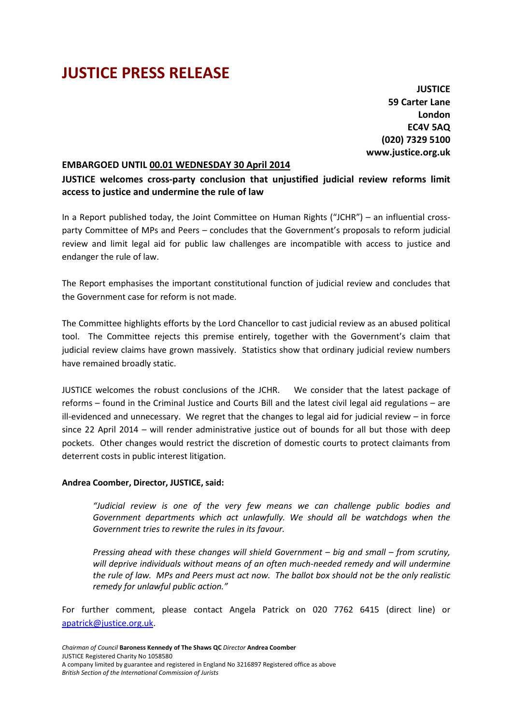## **JUSTICE PRESS RELEASE**

**JUSTICE 59 Carter Lane London EC4V 5AQ (020) 7329 5100 www.justice.org.uk**

## **EMBARGOED UNTIL 00.01 WEDNESDAY 30 April 2014**

**JUSTICE welcomes cross-party conclusion that unjustified judicial review reforms limit access to justice and undermine the rule of law** 

In a Report published today, the Joint Committee on Human Rights ("JCHR") – an influential crossparty Committee of MPs and Peers – concludes that the Government's proposals to reform judicial review and limit legal aid for public law challenges are incompatible with access to justice and endanger the rule of law.

The Report emphasises the important constitutional function of judicial review and concludes that the Government case for reform is not made.

The Committee highlights efforts by the Lord Chancellor to cast judicial review as an abused political tool. The Committee rejects this premise entirely, together with the Government's claim that judicial review claims have grown massively. Statistics show that ordinary judicial review numbers have remained broadly static.

JUSTICE welcomes the robust conclusions of the JCHR. We consider that the latest package of reforms – found in the Criminal Justice and Courts Bill and the latest civil legal aid regulations – are ill-evidenced and unnecessary. We regret that the changes to legal aid for judicial review – in force since 22 April 2014 – will render administrative justice out of bounds for all but those with deep pockets. Other changes would restrict the discretion of domestic courts to protect claimants from deterrent costs in public interest litigation.

## **Andrea Coomber, Director, JUSTICE, said:**

*"Judicial review is one of the very few means we can challenge public bodies and Government departments which act unlawfully. We should all be watchdogs when the Government tries to rewrite the rules in its favour.* 

*Pressing ahead with these changes will shield Government – big and small – from scrutiny, will deprive individuals without means of an often much-needed remedy and will undermine the rule of law. MPs and Peers must act now. The ballot box should not be the only realistic remedy for unlawful public action."* 

For further comment, please contact Angela Patrick on 020 7762 6415 (direct line) or apatrick@justice.org.uk.

*Chairman of Council* **Baroness Kennedy of The Shaws QC** *Director* **Andrea Coomber** JUSTICE Registered Charity No 1058580 A company limited by guarantee and registered in England No 3216897 Registered office as above *British Section of the International Commission of Jurists*